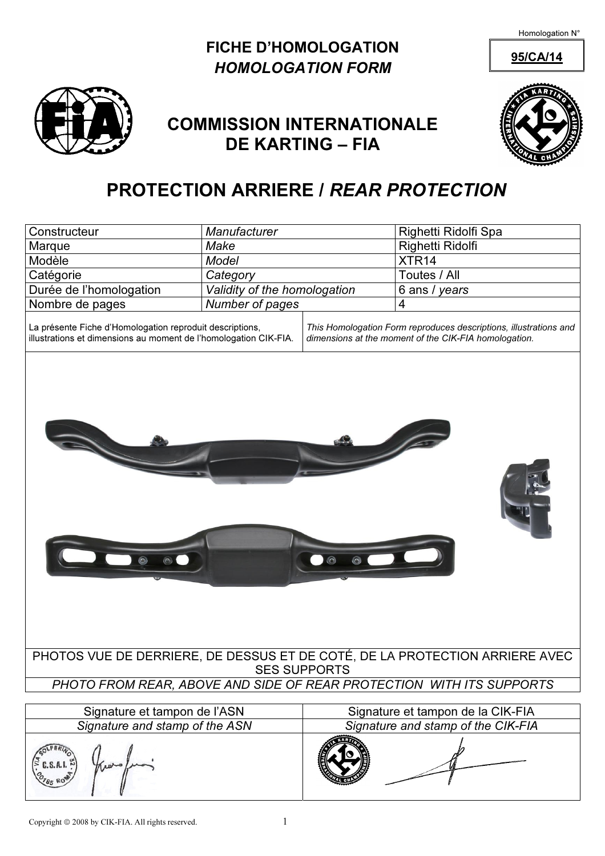## FICHE D'HOMOLOGATION 95/CA/14 HOMOLOGATION FORM



# COMMISSION INTERNATIONALE DE KARTING – FIA



# PROTECTION ARRIERE / REAR PROTECTION

| Constructeur                                                                                                                 | Manufacturer                 |                                                                                                                            | Righetti Ridolfi Spa |  |  |  |  |  |
|------------------------------------------------------------------------------------------------------------------------------|------------------------------|----------------------------------------------------------------------------------------------------------------------------|----------------------|--|--|--|--|--|
| Marque                                                                                                                       | Make                         |                                                                                                                            | Righetti Ridolfi     |  |  |  |  |  |
| Modèle                                                                                                                       | Model                        |                                                                                                                            | XTR <sub>14</sub>    |  |  |  |  |  |
| Catégorie                                                                                                                    | Category                     |                                                                                                                            | Toutes / All         |  |  |  |  |  |
| Durée de l'homologation                                                                                                      | Validity of the homologation |                                                                                                                            | 6 ans / years        |  |  |  |  |  |
| Nombre de pages                                                                                                              | Number of pages              |                                                                                                                            | $\overline{4}$       |  |  |  |  |  |
| La présente Fiche d'Homologation reproduit descriptions,<br>illustrations et dimensions au moment de l'homologation CIK-FIA. |                              | This Homologation Form reproduces descriptions, illustrations and<br>dimensions at the moment of the CIK-FIA homologation. |                      |  |  |  |  |  |
|                                                                                                                              |                              | $\odot$<br>o                                                                                                               |                      |  |  |  |  |  |
| PHOTOS VUE DE DERRIERE, DE DESSUS ET DE COTÉ, DE LA PROTECTION ARRIERE AVEC<br><b>SES SUPPORTS</b>                           |                              |                                                                                                                            |                      |  |  |  |  |  |
| PHOTO FROM REAR, ABOVE AND SIDE OF REAR PROTECTION WITH ITS SUPPORTS                                                         |                              |                                                                                                                            |                      |  |  |  |  |  |
|                                                                                                                              |                              |                                                                                                                            |                      |  |  |  |  |  |
| Signature et tampon de l'ASN<br>Signature and stamp of the ASN                                                               |                              | Signature et tampon de la CIK-FIA<br>Signature and stamp of the CIK-FIA                                                    |                      |  |  |  |  |  |
|                                                                                                                              |                              |                                                                                                                            |                      |  |  |  |  |  |
| $C.S.A.I.$ $\stackrel{\circ}{\sim}$                                                                                          |                              |                                                                                                                            |                      |  |  |  |  |  |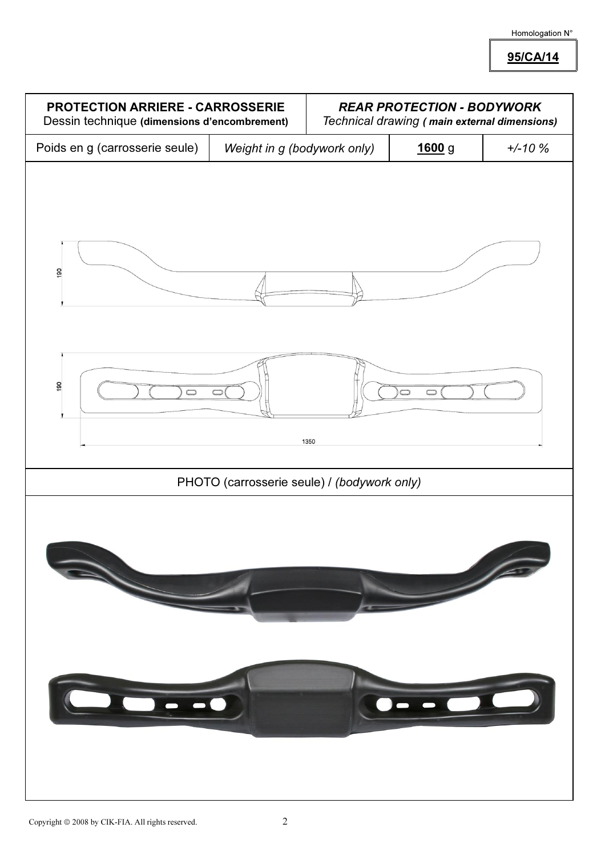95/CA/14

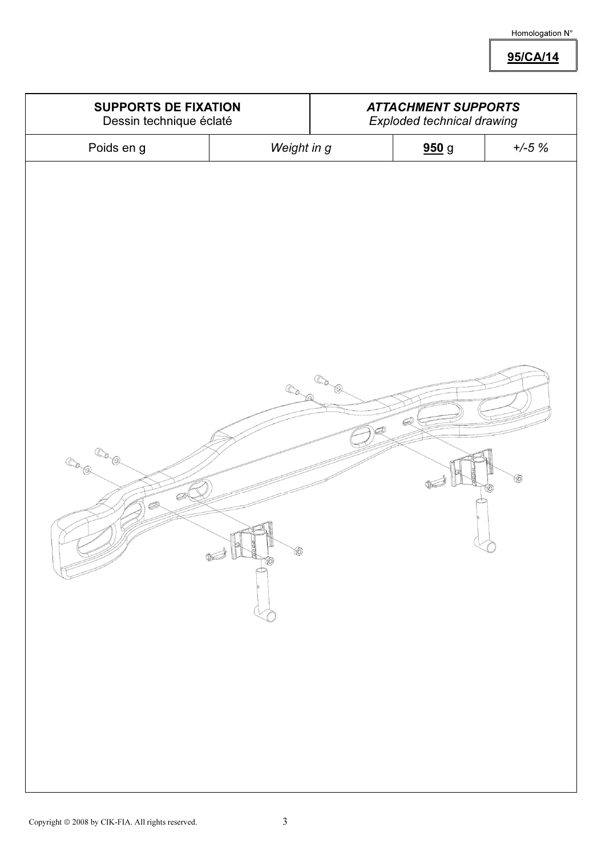95/CA/14

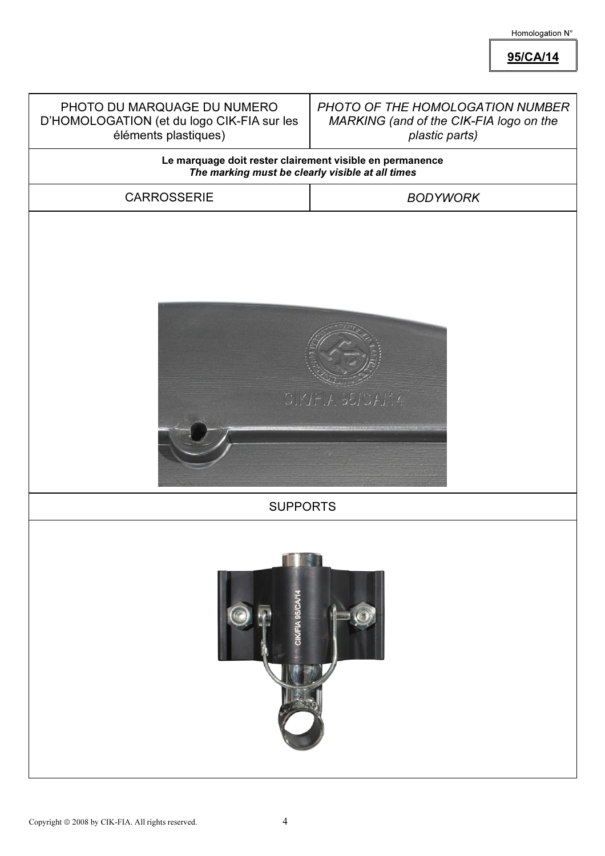95/CA/14